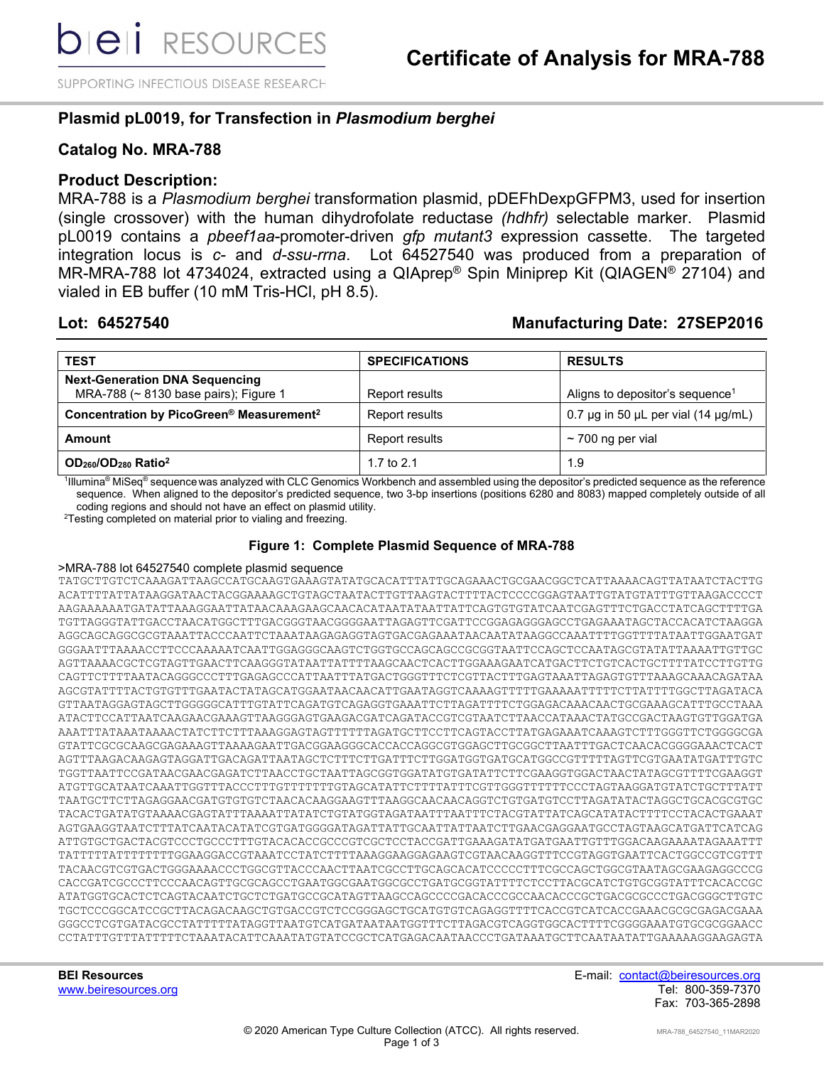SUPPORTING INFECTIOUS DISEASE RESEARCH

# **Plasmid pL0019, for Transfection in** *Plasmodium berghei*

## **Catalog No. MRA-788**

## **Product Description:**

MRA-788 is a *Plasmodium berghei* transformation plasmid, pDEFhDexpGFPM3, used for insertion (single crossover) with the human dihydrofolate reductase *(hdhfr)* selectable marker. Plasmid pL0019 contains a *pbeef1aa*-promoter-driven *gfp mutant3* expression cassette. The targeted integration locus is *c-* and *d-ssu-rrna*. Lot 64527540 was produced from a preparation of MR-MRA-788 lot 4734024, extracted using a QIAprep® Spin Miniprep Kit (QIAGEN® 27104) and vialed in EB buffer (10 mM Tris-HCl, pH 8.5).

# **Lot: 64527540 Manufacturing Date: 27SEP2016**

| <b>TEST</b>                                                                    | <b>SPECIFICATIONS</b> | <b>RESULTS</b>                                     |
|--------------------------------------------------------------------------------|-----------------------|----------------------------------------------------|
| <b>Next-Generation DNA Sequencing</b><br>MRA-788 (~ 8130 base pairs); Figure 1 | Report results        | Aligns to depositor's sequence <sup>1</sup>        |
| Concentration by PicoGreen® Measurement <sup>2</sup>                           | Report results        | 0.7 $\mu$ g in 50 $\mu$ L per vial (14 $\mu$ g/mL) |
| Amount                                                                         | Report results        | $\sim$ 700 ng per vial                             |
| $OD260/OD280$ Ratio <sup>2</sup>                                               | 1.7 to $2.1$          | 1.9                                                |

 $\rm 1$ lllumina® MiSeq® sequence was analyzed with CLC Genomics Workbench and assembled using the depositor's predicted sequence as the reference sequence. When aligned to the depositor's predicted sequence, two 3-bp insertions (positions 6280 and 8083) mapped completely outside of all coding regions and should not have an effect on plasmid utility.

<sup>2</sup>Testing completed on material prior to vialing and freezing.

### **Figure 1: Complete Plasmid Sequence of MRA-788**

#### >MRA-788 lot 64527540 complete plasmid sequence

TATGCTTGTCTCAAAGATTAAGCCATGCAAGTGAAAGTATATGCACATTTATTGCAGAAACTGCGAACGGCTCATTAAAACAGTTATAATCTACTTG ACATTTTATTATAAGGATAACTACGGAAAAGCTGTAGCTAATACTTGTTAAGTACTTTTACTCCCCGGAGTAATTGTATGTATTTGTTAAGACCCCT AAGAAAAAATGATATTAAAGGAATTATAACAAAGAAGCAACACATAATATAATTATTCAGTGTGTATCAATCGAGTTTCTGACCTATCAGCTTTTGA TGTTAGGGTATTGACCTAACATGGCTTTGACGGGTAACGGGGAATTAGAGTTCGATTCCGGAGAGGGAGCCTGAGAAATAGCTACCACATCTAAGGA AGGCAGCAGGCGCGTAAATTACCCAATTCTAAATAAGAGAGGTAGTGACGAGAAATAACAATATAAGGCCAAATTTTGGTTTTATAATTGGAATGAT GGGAATTTAAAACCTTCCCAAAAATCAATTGGAGGGCAAGTCTGGTGCCAGCAGCCGCGGTAATTCCAGCTCCAATAGCGTATATTAAAATTGTTGC AGTTAAAACGCTCGTAGTTGAACTTCAAGGGTATAATTATTTTAAGCAACTCACTTGGAAAGAATCATGACTTCTGTCACTGCTTTTATCCTTGTTG CAGTTCTTTTAATACAGGGCCCTTTGAGAGCCCATTAATTTATGACTGGGTTTCTCGTTACTTTGAGTAAATTAGAGTGTTTAAAGCAAACAGATAA AGCGTATTTTACTGTGTTTGAATACTATAGCATGGAATAACAACATTGAATAGGTCAAAAGTTTTTGAAAAATTTTTCTTATTTTGGCTTAGATACA GTTAATAGGAGTAGCTTGGGGGCATTTGTATTCAGATGTCAGAGGTGAAATTCTTAGATTTTCTGGAGACAAACAACTGCGAAAGCATTTGCCTAAA ATACTTCCATTAATCAAGAACGAAAGTTAAGGGAGTGAAGACGATCAGATACCGTCGTAATCTTAACCATAAACTATGCCGACTAAGTGTTGGATGA AAATTTATAAATAAAACTATCTTCTTTAAAGGAGTAGTTTTTTAGATGCTTCCTTCAGTACCTTATGAGAAATCAAAGTCTTTGGGTTCTGGGGCGA GTATTCGCGCAAGCGAGAAAGTTAAAAGAATTGACGGAAGGGCACCACCAGGCGTGGAGCTTGCGGCTTAATTTGACTCAACACGGGGAAACTCACT AGTTTAAGACAAGAGTAGGATTGACAGATTAATAGCTCTTTCTTGATTTCTTGGATGGTGATGCATGGCCGTTTTTAGTTCGTGAATATGATTTGTC TGGTTAATTCCGATAACGAACGAGATCTTAACCTGCTAATTAGCGGTGGATATGTGATATTCTTCGAAGGTGGACTAACTATAGCGTTTTCGAAGGT ATGTTGCATAATCAAATTGGTTTACCCTTTGTTTTTTTGTAGCATATTCTTTTATTTCGTTGGGTTTTTTCCCTAGTAAGGATGTATCTGCTTTATT TAATGCTTCTTAGAGGAACGATGTGTGTCTAACACAAGGAAGTTTAAGGCAACAACAGGTCTGTGATGTCCTTAGATATACTAGGCTGCACGCGTGC TACACTGATATGTAAAACGAGTATTTAAAATTATATCTGTATGGTAGATAATTTAATTTCTACGTATTATCAGCATATACTTTTCCTACACTGAAAT AGTGAAGGTAATCTTTATCAATACATATCGTGATGGGGATAGATTATTGCAATTATTAATCTTGAACGAGGAATGCCTAGTAAGCATGATTCATCAG ATTGTGCTGACTACGTCCCTGCCCTTTGTACACACCGCCCGTCGCTCCTACCGATTGAAAGATATGATGAATTGTTTGGACAAGAAAATAGAAATTT TATTTTTATTTTTTTTGGAAGGACCGTAAATCCTATCTTTTAAAGGAAGGAGAAGTCGTAACAAGGTTTCCGTAGGTGAATTCACTGGCCGTCGTTT TACAACGTCGTGACTGGGAAAACCCTGGCGTTACCCAACTTAATCGCCTTGCAGCACATCCCCCTTTCGCCAGCTGGCGTAATAGCGAAGAGGCCCG CACCGATCGCCCTTCCCAACAGTTGCGCAGCCTGAATGGCGAATGGCGCCTGATGCGGTATTTTCTCCTTACGCATCTGTGCGGTATTTCACACCGC ATATGGTGCACTCTCAGTACAATCTGCTCTGATGCCGCATAGTTAAGCCAGCCCCGACACCCGCCAACACCCGCTGACGCGCCCTGACGGGCTTGTC TGCTCCCGGCATCCGCTTACAGACAAGCTGTGACCGTCTCCGGGAGCTGCATGTGTCAGAGGTTTTCACCGTCATCACCGAAACGCGCGAGACGAAA GGGCCTCGTGATACGCCTATTTTTATAGGTTAATGTCATGATAATAATGGTTTCTTAGACGTCAGGTGGCACTTTTCGGGGAAATGTGCGCGGAACC CCTATTTGTTTATTTTTCTAAATACATTCAAATATGTATCCGCTCATGAGACAATAACCCTGATAAATGCTTCAATAATATTGAAAAAGGAAGAGTA

**BEI Resources** E-mail: contact@beiresources.org www.beiresources.org Tel: 800-359-7370 Fax: 703-365-2898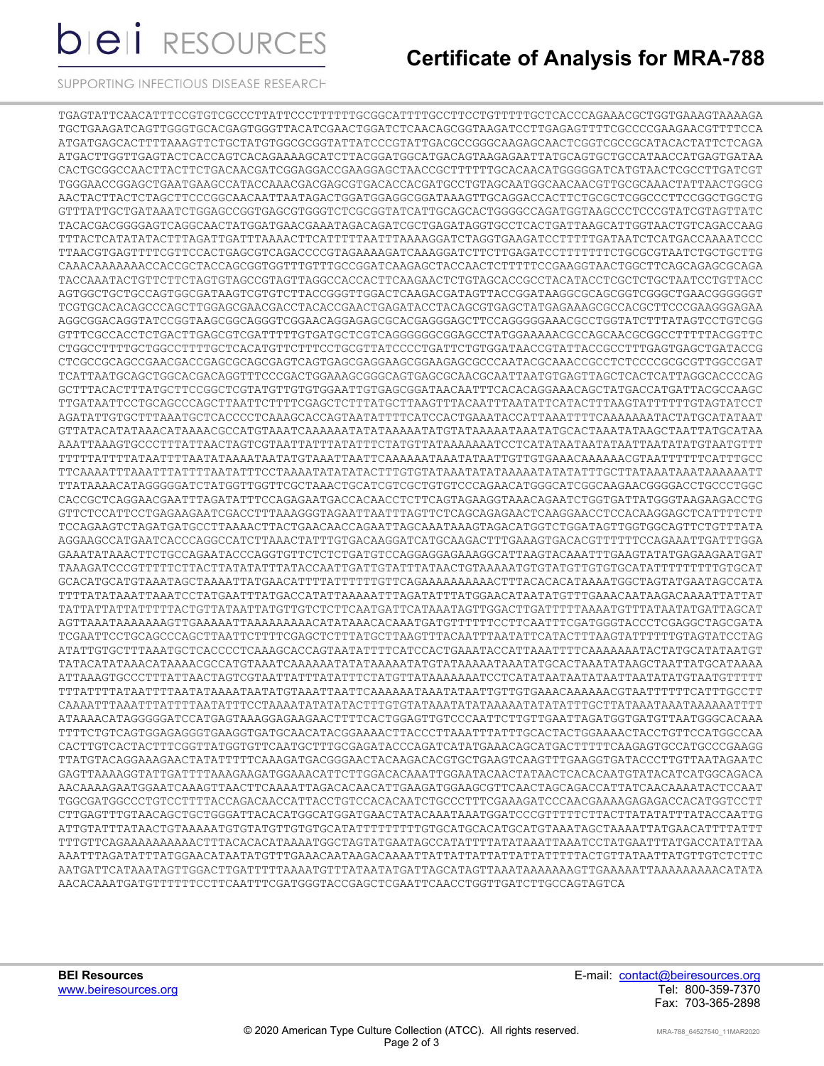**bieli** RESOURCES

# **Certificate of Analysis for MRA-788**

SUPPORTING INFECTIOUS DISEASE RESEARCH

TGAGTATTCAACATTTCCGTGTCGCCCCTTATTCCCTTTTTTGCGGCATTTTTGCCTGTTTTTTGCTCACCCAGAAAACGCTGGTGAAAGTAAAAGA TGCTGAAGATCAGTTGGGTGCACGAGTGGGTTACATCGAACTGGATCTCAACAGCGGTAAGATCCTTGAGAGTTTTCGCCCCGAAGAACGTTTTCCA ATGATGAGCACTTTTAAAGTTCTGCTATGTGGCGCGGTATTATCCCGTATTGACGCCGGGCAAGAGCAACTCGGTCGCCGCATACACTATTCTCAGA ATGACTTGGTTGAGTACTCACCAGTCACAGAAAAGCATCTTACGGATGGCATGACAGTAAGAGAATTATGCAGTGCTGCCATAACCATGAGTGATAA CACTGCGGCCAACTTACTTCTGACAACGATCGGAGGACCGAAGGAGCTAACCGCTTTTTTGCACAACATGGGGGATCATGTAACTCGCCTTGATCGT TGGGAACCGGAGCTGAATGAAGCCATACCAAACGACGAGCGTGACACCACGATGCCTGTAGCAATGGCAACAACGTTGCGCAAACTATTAACTGGCG AACTACTTACTCTAGCTTCCCGGCAACAATTAATAGACTGGATGGAGGCGGATAAAGTTGCAGGACCACTTCTGCGCTCGGCCCTTCCGGCTGGCTG GTTTATTGCTGATAAATCTGGAGCCGGTGAGCGTGGGTCTCGCGGTATCATTGCAGCACTGGGGCCAGATGGTAAGCCCTCCCGTATCGTAGTTATC TACACGACGGGGAGTCAGGCAACTATGGATGAACGAAATAGACAGATCGCTGAGATAGGTGCCTCACTGATTAAGCATTGGTAACTGTCAGACCAAG TTTACTCATATATACTTTAGATTGATTTAAAACTTCATTTTTAATTTAAAAGGATCTAGGTGAAGATCCTTTTTGATAATCTCATGACCAAAATCCC TTAACGTGAGTTTTCGTTCCACTGAGCGTCAGACCCCGTAGAAAAGATCAAAGGATCTTCTTGAGATCCTTTTTTTCTGCGCGTAATCTGCTGCTTG CAAACAAAAAAACCACCGCTACCAGCGGTGGTTTGTTTGCCGGATCAAGAGCTACCAACTCTTTTTCCGAAGGTAACTGGCTTCAGCAGAGCGCAGA TACCAAATACTGTTCTTCTAGTGTAGCCGTAGTTAGGCCACCACTTCAAGAACTCTGTAGCACCGCCTACATACCTCGCTCTGCTAATCCTGTTACC AGTGGCTGCTGCCAGTGGCGATAAGTCGTGTCTTACCGGGTTGGACTCAAGACGATAGTTACCGGATAAGGCGCAGCGGTCGGGCTGAACGGGGGGT TCGTGCACACAGCCCAGCTTGGAGCGAACGACCTACACCGAACTGAGATACCTACAGCGTGAGCTATGAGAAAGCGCCACGCTTCCCGAAGGGAGAA AGGCGGACAGGTATCCGGTAAGCGGCAGGGTCGGAACAGGAGAGCGCACGAGGGAGCTTCCAGGGGGAAACGCCTGGTATCTTTATAGTCCTGTCGG GTTTCGCCACCTCTGACTTGAGCGTCGATTTTTGTGATGCTCGTCAGGGGGGCGGAGCCTATGGAAAAACGCCAGCAACGCGGCCTTTTTACGGTTC CTGGCCTTTTGCTGGCCTTTTGCTCACATGTTCTTTCCTGCGTTATCCCCTGATTCTGTGGATAACCGTATTACCGCCTTTGAGTGAGCTGATACCG CTCGCCGCAGCCGAACGACCGAGCGCAGCGAGTCAGTGAGCGAGGAAGCGGAAGAGCGCCCAATACGCAAACCGCCTCTCCCCGCGCGTTGGCCGAT TCATTAATGCAGCTGGCACGACAGGTTTCCCGACTGGAAAGCGGGCAGTGAGCGCAACGCAATTAATGTGAGTTAGCTCACTCATTAGGCACCCCAG GCTTTACACTTTATGCTTCCGGCTCGTATGTTGTGTGGAATTGTGAGCGGATAACAATTTCACACAGGAAACAGCTATGACCATGATTACGCCAAGC TTGATAATTCCTGCAGCCCAGCTTAATTCTTTTCGAGCTCTTTATGCTTAAGTTTACAATTTAATATTCATACTTTAAGTATTTTTTGTAGTATCCT AGATATTGTGCTTTAAATGCTCACCCCTCAAAGCACCAGTAATATTTTCATCCACTGAAATACCATTAAATTTTCAAAAAAATACTATGCATATAAT GTTATACATATAAACATAAAACGCCATGTAAATCAAAAAATATATAAAAATATGTATAAAAATAAATATGCACTAAATATAAGCTAATTATGCATAA AAATTAAAGTGCCCTTTATTAACTAGTCGTAATTATTTATATTTCTATGTTATAAAAAAATCCTCATATAATAATATAATTAATATATGTAATGTTT TTTTTATTTTATAATTTTAATATAAAATAATATGTAAATTAATTCAAAAAATAAATATAATTGTTGTGAAACAAAAAACGTAATTTTTTCATTTGCC TTCAAAATTTAAATTTATTTTAATATTTCCTAAAATATATATACTTTGTGTATAAATATATAAAAATATATATTTGCTTATAAATAAATAAAAAATT TTATAAAACATAGGGGGATCTATGGTTGGTTCGCTAAACTGCATCGTCGCTGTGTCCCAGAACATGGGCATCGGCAAGAACGGGGACCTGCCCTGGC CACCGCTCAGGAACGAATTTAGATATTTCCAGAGAATGACCACAACCTCTTCAGTAGAAGGTAAACAGAATCTGGTGATTATGGGTAAGAAGACCTG GTTCTCCATTCCTGAGAAGAATCGACCTTTAAAGGGTAGAATTAATTTAGTTCTCAGCAGAGAACTCAAGGAACCTCCACAAGGAGCTCATTTTCTT TCCAGAAGTCTAGATGATGCCTTAAAACTTACTGAACAACCAGAATTAGCAAATAAAGTAGACATGGTCTGGATAGTTGGTGGCAGTTCTGTTTATA AGGAAGCCATGAATCACCCAGGCCATCTTAAACTATTTGTGACAAGGATCATGCAAGACTTTGAAAGTGACACGTTTTTTCCAGAAATTGATTTGGA GAAATATAAACTTCTGCCAGAATACCCAGGTGTTCTCTCTGATGTCCAGGAGGAGAAAGGCATTAAGTACAAATTTGAAGTATATGAGAAGAATGAT TAAAGATCCCGTTTTTCTTACTTATATATTTATACCAATTGATTGTATTTATAACTGTAAAAATGTGTATGTTGTGTGCATATTTTTTTTTGTGCAT GCACATGCATGTAAATAGCTAAAATTATGAACATTTTATTTTTTGTTCAGAAAAAAAAAACTTTACACACATAAAATGGCTAGTATGAATAGCCATA TTTTATATAAATTAAATCCTATGAATTTATGACCATATTAAAAATTTAGATATTTATGGAACATAATATGTTTGAAACAATAAGACAAAATTATTAT TATTATTATTATTTTTACTGTTATAATTATGTTGTCTCTTCAATGATTCATAAATAGTTGGACTTGATTTTTAAAATGTTTATAATATGATTAGCAT AGTTAAATAAAAAAAGTTGAAAAATTAAAAAAAAACATATAAACACAAATGATGTTTTTTCCTTCAATTTCGATGGGTACCCTCGAGGCTAGCGATA TCGAATTCCTGCAGCCCAGCTTAATTCTTTTCGAGCTCTTTATGCTTAAGTTTACAATTTAATATTCATACTTTAAGTATTTTTTGTAGTATCCTAG ATATTGTGCTTTAAATGCTCACCCCTCAAAGCACCAGTAATATTTTCATCCACTGAAATACCATTAAATTTTCAAAAAAATACTATGCATATAATGT TATACATATAAACATAAAACGCCATGTAAATCAAAAAATATATAAAAATATGTATAAAAATAAATATGCACTAAATATAAGCTAATTATGCATAAAA ATTAAAGTGCCCTTTATTAACTAGTCGTAATTATTTATATTTCTATGTTATAAAAAAATCCTCATATAATAATATAATTAATATATGTAATGTTTTT TTTATTTTATAATTTTAATATAAAATAATATGTAAATTAATTCAAAAAATAAATATAATTGTTGTGAAACAAAAAACGTAATTTTTTCATTTGCCTT CAAAATTTAAATTTATTTTAATATTTCCTAAAATATATATACTTTGTGTATAAATATATAAAAATATATATTTGCTTATAAATAAATAAAAAATTTT ATAAAACATAGGGGGATCCATGAGTAAAGGAGAAGAACTTTTCACTGGAGTTGTCCCAATTCTTGTTGAATTAGATGGTGATGTTAATGGGCACAAA TTTTCTGTCAGTGGAGAGGGTGAAGGTGATGCAACATACGGAAAACTTACCCTTAAATTTATTTGCACTACTGGAAAACTACCTGTTCCATGGCCAA CACTTGTCACTACTTTCGGTTATGGTGTTCAATGCTTTGCGAGATACCCAGATCATATGAAACAGCATGACTTTTTCAAGAGTGCCATGCCCGAAGG TTATGTACAGGAAAGAACTATATTTTTCAAAGATGACGGGAACTACAAGACACGTGCTGAAGTCAAGTTTGAAGGTGATACCCTTGTTAATAGAATC GAGTTAAAAGGTATTGATTTTAAAGAAGATGGAAACATTCTTGGACACAAATTGGAATACAACTATAACTCACACAATGTATACATCATGGCAGACA AACAAAAGAATGGAATCAAAGTTAACTTCAAAATTAGACACAACATTGAAGATGGAAGCGTTCAACTAGCAGACCATTATCAACAAAATACTCCAAT TGGCGATGGCCCTGTCCTTTTACCAGACAACCATTACCTGTCCACACAATCTGCCCTTTCGAAAGATCCCAACGAAAAGAGAGACCACATGGTCCTT CTTGAGTTTGTAACAGCTGCTGGGATTACACATGGCATGGATGAACTATACAAATAAATGGATCCCGTTTTTCTTACTTATATATTTATACCAATTG ATTGTATTTATAACTGTAAAAATGTGTATGTTGTGTGCATATTTTTTTTTGTGCATGCACATGCATGTAAATAGCTAAAATTATGAACATTTTATTT TTTGTTCAGAAAAAAAAAACTTTACACACATAAAATGGCTAGTATGAATAGCCATATTTTATATAAATTAAATCCTATGAATTTATGACCATATTAA AAATTTAGATATTTATGGAACATAATATGTTTGAAACAATAAGACAAAATTATTATTATTATTATTATTTTTACTGTTATAATTATGTTGTCTCTTC AATGATTCATAAATAGTTGGACTTGATTTTTAAAATGTTTATAATATGATTAGCATAGTTAAATAAAAAAAGTTGAAAAATTAAAAAAAAACATATA AACACAAATGATGTTTTTTCCTTCAATTTCGATGGGTACCGAGCTCGAATTCAACCTGGTTGATCTTGCCAGTAGTCA

**BEI Resources** E-mail: contact@beiresources.org Fax: 703-365-2898